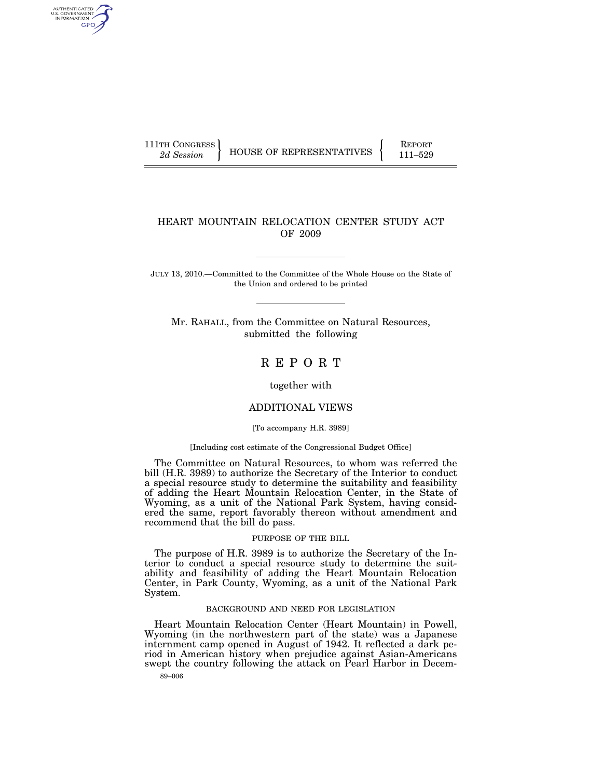AUTHENTICATED<br>U.S. GOVERNMENT<br>INFORMATION GPO

111TH CONGRESS HOUSE OF REPRESENTATIVES FEPORT 111-529

## HEART MOUNTAIN RELOCATION CENTER STUDY ACT OF 2009

JULY 13, 2010.—Committed to the Committee of the Whole House on the State of the Union and ordered to be printed

Mr. RAHALL, from the Committee on Natural Resources, submitted the following

# R E P O R T

together with

## ADDITIONAL VIEWS

[To accompany H.R. 3989]

#### [Including cost estimate of the Congressional Budget Office]

The Committee on Natural Resources, to whom was referred the bill (H.R. 3989) to authorize the Secretary of the Interior to conduct a special resource study to determine the suitability and feasibility of adding the Heart Mountain Relocation Center, in the State of Wyoming, as a unit of the National Park System, having considered the same, report favorably thereon without amendment and recommend that the bill do pass.

#### PURPOSE OF THE BILL

The purpose of H.R. 3989 is to authorize the Secretary of the Interior to conduct a special resource study to determine the suitability and feasibility of adding the Heart Mountain Relocation Center, in Park County, Wyoming, as a unit of the National Park System.

### BACKGROUND AND NEED FOR LEGISLATION

Heart Mountain Relocation Center (Heart Mountain) in Powell, Wyoming (in the northwestern part of the state) was a Japanese internment camp opened in August of 1942. It reflected a dark period in American history when prejudice against Asian-Americans swept the country following the attack on Pearl Harbor in Decem-

89–006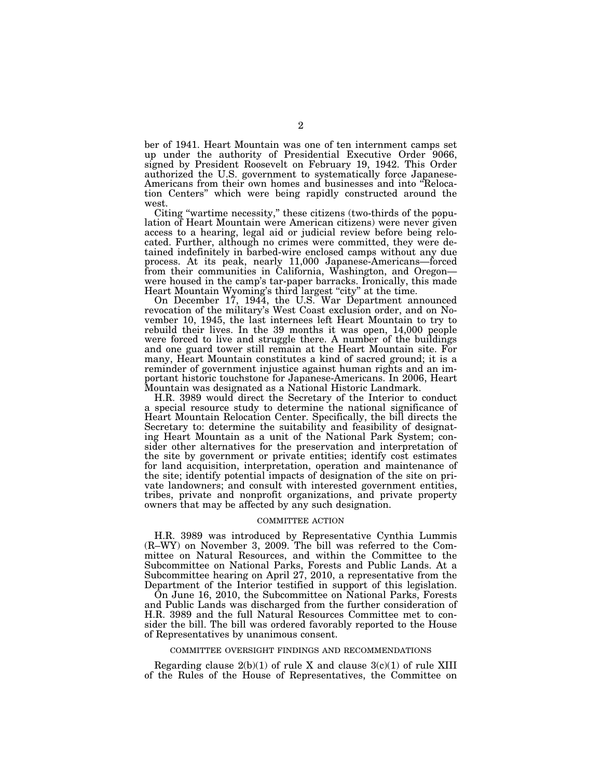ber of 1941. Heart Mountain was one of ten internment camps set up under the authority of Presidential Executive Order 9066, signed by President Roosevelt on February 19, 1942. This Order authorized the U.S. government to systematically force Japanese-Americans from their own homes and businesses and into ''Relocation Centers'' which were being rapidly constructed around the west.

Citing ''wartime necessity,'' these citizens (two-thirds of the population of Heart Mountain were American citizens) were never given access to a hearing, legal aid or judicial review before being relocated. Further, although no crimes were committed, they were detained indefinitely in barbed-wire enclosed camps without any due process. At its peak, nearly 11,000 Japanese-Americans—forced from their communities in California, Washington, and Oregon were housed in the camp's tar-paper barracks. Ironically, this made Heart Mountain Wyoming's third largest "city" at the time.

On December 17, 1944, the U.S. War Department announced revocation of the military's West Coast exclusion order, and on November 10, 1945, the last internees left Heart Mountain to try to rebuild their lives. In the 39 months it was open, 14,000 people were forced to live and struggle there. A number of the buildings and one guard tower still remain at the Heart Mountain site. For many, Heart Mountain constitutes a kind of sacred ground; it is a reminder of government injustice against human rights and an important historic touchstone for Japanese-Americans. In 2006, Heart Mountain was designated as a National Historic Landmark.

H.R. 3989 would direct the Secretary of the Interior to conduct a special resource study to determine the national significance of Heart Mountain Relocation Center. Specifically, the bill directs the Secretary to: determine the suitability and feasibility of designating Heart Mountain as a unit of the National Park System; consider other alternatives for the preservation and interpretation of the site by government or private entities; identify cost estimates for land acquisition, interpretation, operation and maintenance of the site; identify potential impacts of designation of the site on private landowners; and consult with interested government entities, tribes, private and nonprofit organizations, and private property owners that may be affected by any such designation.

#### COMMITTEE ACTION

H.R. 3989 was introduced by Representative Cynthia Lummis (R–WY) on November 3, 2009. The bill was referred to the Committee on Natural Resources, and within the Committee to the Subcommittee on National Parks, Forests and Public Lands. At a Subcommittee hearing on April 27, 2010, a representative from the Department of the Interior testified in support of this legislation.

On June 16, 2010, the Subcommittee on National Parks, Forests and Public Lands was discharged from the further consideration of H.R. 3989 and the full Natural Resources Committee met to consider the bill. The bill was ordered favorably reported to the House of Representatives by unanimous consent.

#### COMMITTEE OVERSIGHT FINDINGS AND RECOMMENDATIONS

Regarding clause  $2(b)(1)$  of rule X and clause  $3(c)(1)$  of rule XIII of the Rules of the House of Representatives, the Committee on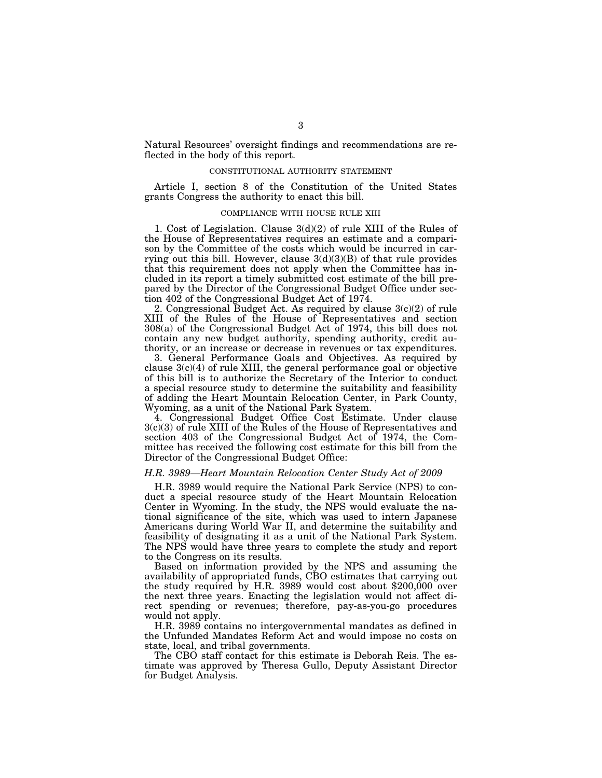Natural Resources' oversight findings and recommendations are reflected in the body of this report.

### CONSTITUTIONAL AUTHORITY STATEMENT

Article I, section 8 of the Constitution of the United States grants Congress the authority to enact this bill.

### COMPLIANCE WITH HOUSE RULE XIII

1. Cost of Legislation. Clause 3(d)(2) of rule XIII of the Rules of the House of Representatives requires an estimate and a comparison by the Committee of the costs which would be incurred in carrying out this bill. However, clause  $3(d)(3)(B)$  of that rule provides that this requirement does not apply when the Committee has included in its report a timely submitted cost estimate of the bill prepared by the Director of the Congressional Budget Office under section 402 of the Congressional Budget Act of 1974.

2. Congressional Budget Act. As required by clause 3(c)(2) of rule XIII of the Rules of the House of Representatives and section 308(a) of the Congressional Budget Act of 1974, this bill does not contain any new budget authority, spending authority, credit authority, or an increase or decrease in revenues or tax expenditures.

3. General Performance Goals and Objectives. As required by clause  $3(c)(4)$  of rule XIII, the general performance goal or objective of this bill is to authorize the Secretary of the Interior to conduct a special resource study to determine the suitability and feasibility of adding the Heart Mountain Relocation Center, in Park County, Wyoming, as a unit of the National Park System.

4. Congressional Budget Office Cost Estimate. Under clause 3(c)(3) of rule XIII of the Rules of the House of Representatives and section 403 of the Congressional Budget Act of 1974, the Committee has received the following cost estimate for this bill from the Director of the Congressional Budget Office:

### *H.R. 3989—Heart Mountain Relocation Center Study Act of 2009*

H.R. 3989 would require the National Park Service (NPS) to conduct a special resource study of the Heart Mountain Relocation Center in Wyoming. In the study, the NPS would evaluate the national significance of the site, which was used to intern Japanese Americans during World War II, and determine the suitability and feasibility of designating it as a unit of the National Park System. The NPS would have three years to complete the study and report to the Congress on its results.

Based on information provided by the NPS and assuming the availability of appropriated funds, CBO estimates that carrying out the study required by H.R. 3989 would cost about \$200,000 over the next three years. Enacting the legislation would not affect direct spending or revenues; therefore, pay-as-you-go procedures would not apply.

H.R. 3989 contains no intergovernmental mandates as defined in the Unfunded Mandates Reform Act and would impose no costs on state, local, and tribal governments.

The CBO staff contact for this estimate is Deborah Reis. The estimate was approved by Theresa Gullo, Deputy Assistant Director for Budget Analysis.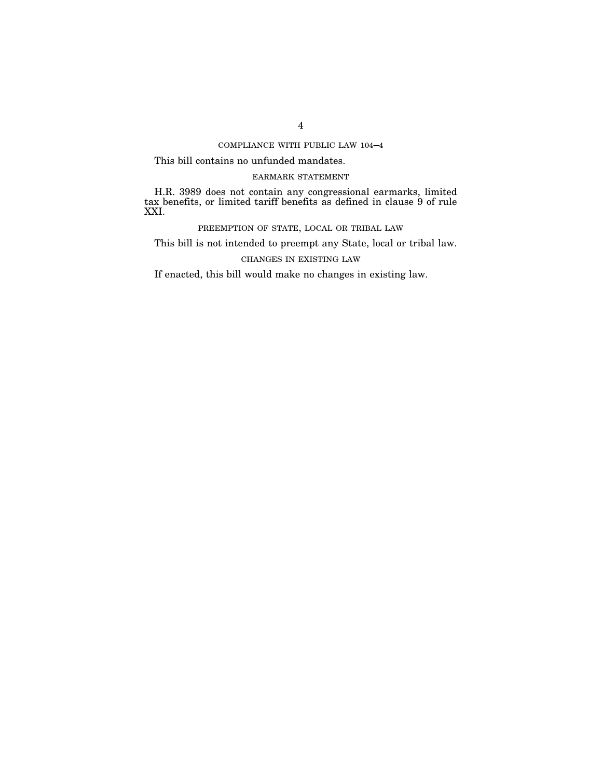COMPLIANCE WITH PUBLIC LAW 104–4

This bill contains no unfunded mandates.

## EARMARK STATEMENT

H.R. 3989 does not contain any congressional earmarks, limited tax benefits, or limited tariff benefits as defined in clause 9 of rule XXI.

PREEMPTION OF STATE, LOCAL OR TRIBAL LAW

This bill is not intended to preempt any State, local or tribal law.

CHANGES IN EXISTING LAW

If enacted, this bill would make no changes in existing law.